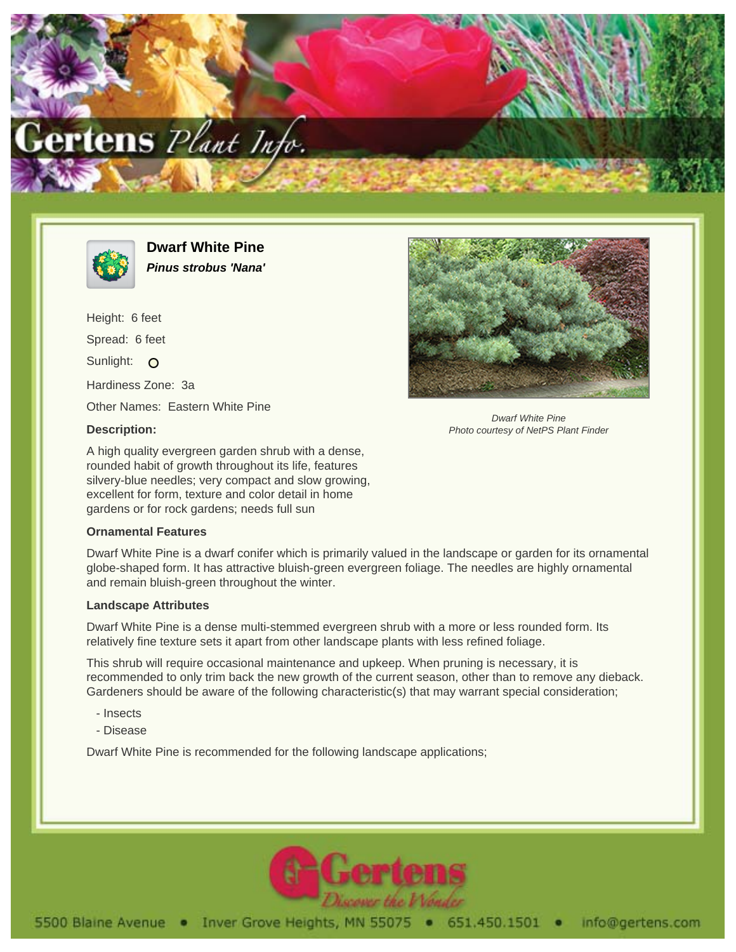



**Dwarf White Pine Pinus strobus 'Nana'**

Height: 6 feet Spread: 6 feet Sunlight: O Hardiness Zone: 3a Other Names: Eastern White Pine

## **Description:**

A high quality evergreen garden shrub with a dense, rounded habit of growth throughout its life, features silvery-blue needles; very compact and slow growing, excellent for form, texture and color detail in home gardens or for rock gardens; needs full sun

## **Ornamental Features**

Dwarf White Pine is a dwarf conifer which is primarily valued in the landscape or garden for its ornamental globe-shaped form. It has attractive bluish-green evergreen foliage. The needles are highly ornamental and remain bluish-green throughout the winter.

## **Landscape Attributes**

Dwarf White Pine is a dense multi-stemmed evergreen shrub with a more or less rounded form. Its relatively fine texture sets it apart from other landscape plants with less refined foliage.

This shrub will require occasional maintenance and upkeep. When pruning is necessary, it is recommended to only trim back the new growth of the current season, other than to remove any dieback. Gardeners should be aware of the following characteristic(s) that may warrant special consideration;

- Insects
- Disease

Dwarf White Pine is recommended for the following landscape applications;



Dwarf White Pine Photo courtesy of NetPS Plant Finder